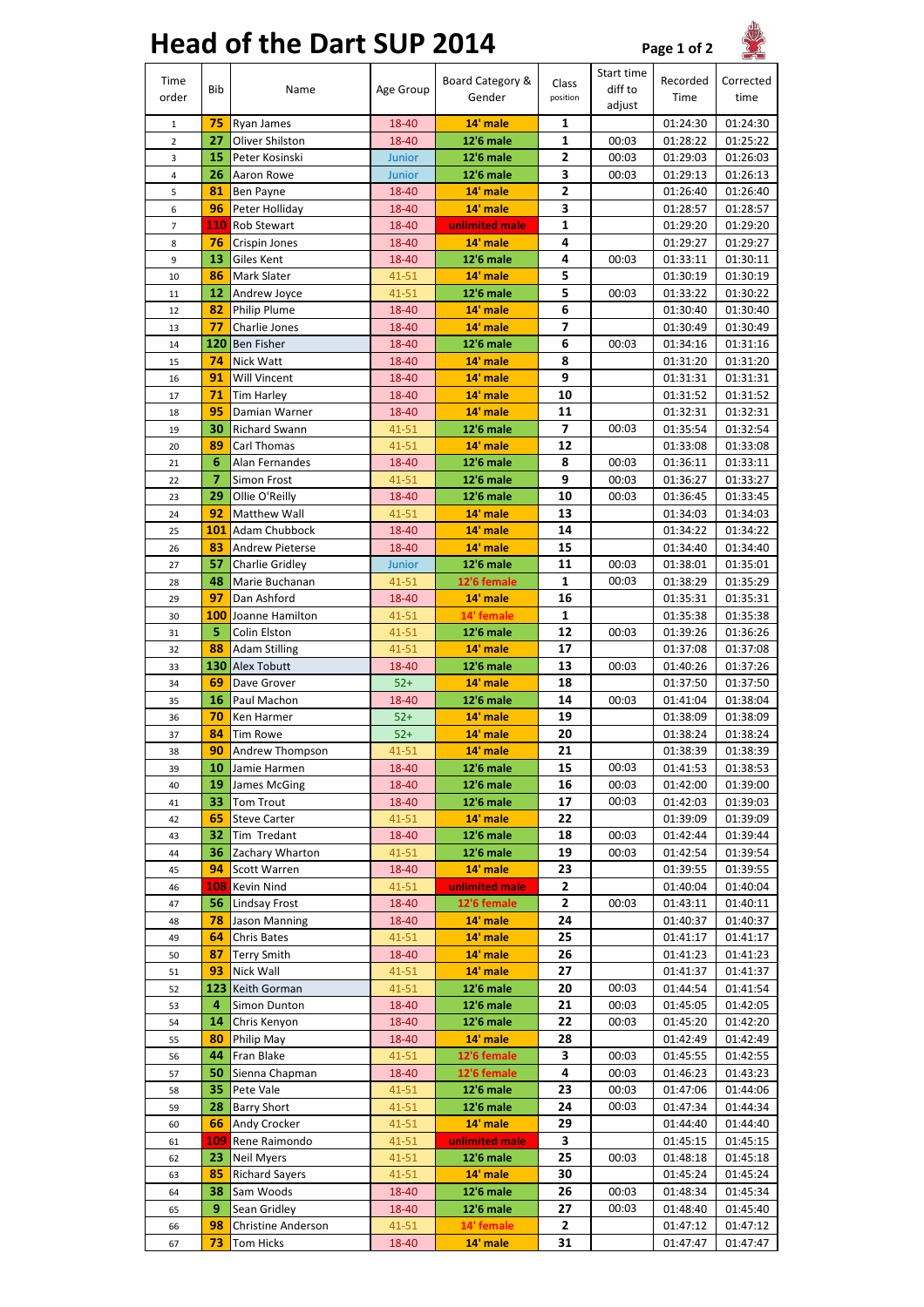## **Head of the Dart SUP 2014**

**Page 1 of 2**

OF

|                |                |                        |               |                  |                | Start time |          |           |
|----------------|----------------|------------------------|---------------|------------------|----------------|------------|----------|-----------|
| Time           | Bib            | Name                   | Age Group     | Board Category & | Class          | diff to    | Recorded | Corrected |
| order          |                |                        |               | Gender           | position       |            | Time     | time      |
|                |                |                        |               |                  |                | adjust     |          |           |
| $\mathbf 1$    | 75             | <b>Ryan James</b>      | 18-40         | 14' male         | 1              |            | 01:24:30 | 01:24:30  |
| $\overline{2}$ | 27             | Oliver Shilston        | 18-40         | <b>12'6 male</b> | 1              | 00:03      | 01:28:22 | 01:25:22  |
| 3              | 15             | Peter Kosinski         | <b>Junior</b> | <b>12'6 male</b> | $\mathbf{2}$   | 00:03      | 01:29:03 | 01:26:03  |
|                |                |                        |               |                  |                |            |          |           |
| 4              | 26             | Aaron Rowe             | <b>Junior</b> | <b>12'6 male</b> | 3              | 00:03      | 01:29:13 | 01:26:13  |
| 5              | 81             | Ben Payne              | 18-40         | 14' male         | 2              |            | 01:26:40 | 01:26:40  |
| 6              | 96             | Peter Holliday         | 18-40         | 14' male         | 3              |            | 01:28:57 | 01:28:57  |
| $\overline{7}$ |                | <b>110</b> Rob Stewart | 18-40         | unlimited male   | 1              |            | 01:29:20 | 01:29:20  |
|                |                |                        |               |                  |                |            |          |           |
| 8              | 76             | Crispin Jones          | 18-40         | 14' male         | 4              |            | 01:29:27 | 01:29:27  |
| 9              | 13             | Giles Kent             | 18-40         | <b>12'6 male</b> | 4              | 00:03      | 01:33:11 | 01:30:11  |
| 10             | 86             | Mark Slater            | 41-51         | 14' male         | 5              |            | 01:30:19 | 01:30:19  |
| 11             | 12             | Andrew Joyce           | 41-51         | <b>12'6 male</b> | 5              | 00:03      | 01:33:22 | 01:30:22  |
|                |                |                        |               |                  |                |            |          |           |
| 12             | 82             | <b>Philip Plume</b>    | 18-40         | 14' male         | 6              |            | 01:30:40 | 01:30:40  |
| 13             | 77             | Charlie Jones          | 18-40         | 14' male         | 7              |            | 01:30:49 | 01:30:49  |
| 14             | 120            | <b>Ben Fisher</b>      | 18-40         | <b>12'6 male</b> | 6              | 00:03      | 01:34:16 | 01:31:16  |
| 15             | 74             | Nick Watt              | 18-40         | 14' male         | 8              |            | 01:31:20 | 01:31:20  |
|                | 91             |                        |               |                  |                |            |          |           |
| 16             |                | <b>Will Vincent</b>    | 18-40         | 14' male         | 9              |            | 01:31:31 | 01:31:31  |
| 17             | 71             | Tim Harley             | 18-40         | 14' male         | 10             |            | 01:31:52 | 01:31:52  |
| 18             | 95             | Damian Warner          | 18-40         | 14' male         | 11             |            | 01:32:31 | 01:32:31  |
| 19             | 30             | <b>Richard Swann</b>   | 41-51         | <b>12'6 male</b> | $\overline{7}$ | 00:03      | 01:35:54 | 01:32:54  |
| 20             | 89             | Carl Thomas            | 41-51         | 14' male         | 12             |            | 01:33:08 | 01:33:08  |
|                |                |                        |               |                  |                |            |          |           |
| 21             | 6              | Alan Fernandes         | 18-40         | 12'6 male        | 8              | 00:03      | 01:36:11 | 01:33:11  |
| 22             | $\overline{7}$ | Simon Frost            | 41-51         | <b>12'6 male</b> | 9              | 00:03      | 01:36:27 | 01:33:27  |
| 23             | 29             | Ollie O'Reilly         | 18-40         | <b>12'6 male</b> | 10             | 00:03      | 01:36:45 | 01:33:45  |
| 24             | 92             | Matthew Wall           | 41-51         | 14' male         | 13             |            | 01:34:03 | 01:34:03  |
|                |                |                        |               |                  |                |            |          |           |
| 25             | 101            | Adam Chubbock          | 18-40         | 14' male         | 14             |            | 01:34:22 | 01:34:22  |
| 26             | 83             | Andrew Pieterse        | 18-40         | 14' male         | 15             |            | 01:34:40 | 01:34:40  |
| 27             | 57             | Charlie Gridley        | <b>Junior</b> | <b>12'6 male</b> | 11             | 00:03      | 01:38:01 | 01:35:01  |
| 28             | 48             | Marie Buchanan         | 41-51         | 12'6 female      | 1              | 00:03      | 01:38:29 | 01:35:29  |
|                |                |                        |               |                  |                |            |          |           |
| 29             | 97             | Dan Ashford            | 18-40         | 14' male         | 16             |            | 01:35:31 | 01:35:31  |
| 30             | 100            | Joanne Hamilton        | 41-51         | 14' female       | 1              |            | 01:35:38 | 01:35:38  |
| 31             | 5              | Colin Elston           | $41 - 51$     | <b>12'6 male</b> | 12             | 00:03      | 01:39:26 | 01:36:26  |
| 32             | 88             | <b>Adam Stilling</b>   | 41-51         | 14' male         | 17             |            | 01:37:08 | 01:37:08  |
| 33             | 130            | Alex Tobutt            | 18-40         | <b>12'6 male</b> | 13             | 00:03      | 01:40:26 | 01:37:26  |
|                | 69             |                        | $52+$         | 14' male         |                |            |          | 01:37:50  |
| 34             |                | Dave Grover            |               |                  | 18             |            | 01:37:50 |           |
| 35             | 16             | Paul Machon            | 18-40         | 12'6 male        | 14             | 00:03      | 01:41:04 | 01:38:04  |
| 36             | 70             | Ken Harmer             | $52+$         | 14' male         | 19             |            | 01:38:09 | 01:38:09  |
| 37             | 84             | <b>Tim Rowe</b>        | $52+$         | 14' male         | 20             |            | 01:38:24 | 01:38:24  |
| 38             | 90             | Andrew Thompson        | $41 - 51$     | 14' male         | 21             |            | 01:38:39 | 01:38:39  |
|                |                |                        |               |                  |                |            |          |           |
| 39             | 10             | Jamie Harmen           | 18-40         | <b>12'6 male</b> | 15             | 00:03      | 01:41:53 | 01:38:53  |
| 40             | 19             | James McGing           | 18-40         | <b>12'6 male</b> | 16             | 00:03      | 01:42:00 | 01:39:00  |
| 41             | 33             | <b>Tom Trout</b>       | 18-40         | <b>12'6 male</b> | 17             | 00:03      | 01:42:03 | 01:39:03  |
| 42             | 65             | <b>Steve Carter</b>    | 41-51         | 14' male         | 22             |            | 01:39:09 | 01:39:09  |
| 43             | 32             | Tim Tredant            | 18-40         | 12'6 male        | 18             | 00:03      | 01:42:44 | 01:39:44  |
|                |                |                        |               |                  |                |            |          |           |
| 44             | 36             | Zachary Wharton        | 41-51         | 12'6 male        | 19             | 00:03      | 01:42:54 | 01:39:54  |
| 45             | 94             | <b>Scott Warren</b>    | 18-40         | 14' male         | 23             |            | 01:39:55 | 01:39:55  |
| 46             | 108            | Kevin Nind             | 41-51         | unlimited male   | 2              |            | 01:40:04 | 01:40:04  |
| 47             | 56             | <b>Lindsay Frost</b>   | 18-40         | 12'6 female      | $\mathbf{2}$   | 00:03      | 01:43:11 | 01:40:11  |
| 48             | 78             | <b>Jason Manning</b>   | 18-40         | 14' male         | 24             |            | 01:40:37 | 01:40:37  |
|                |                |                        |               |                  |                |            |          |           |
| 49             | 64             | Chris Bates            | 41-51         | 14' male         | 25             |            | 01:41:17 | 01:41:17  |
| 50             | 87             | <b>Terry Smith</b>     | 18-40         | 14' male         | 26             |            | 01:41:23 | 01:41:23  |
| 51             | 93             | Nick Wall              | 41-51         | 14' male         | 27             |            | 01:41:37 | 01:41:37  |
| 52             |                | 123 Keith Gorman       | 41-51         | <b>12'6 male</b> | 20             | 00:03      | 01:44:54 | 01:41:54  |
|                |                |                        |               |                  |                |            |          |           |
| 53             | 4              | Simon Dunton           | 18-40         | <b>12'6 male</b> | 21             | 00:03      | 01:45:05 | 01:42:05  |
| 54             | 14             | Chris Kenyon           | 18-40         | <b>12'6 male</b> | 22             | 00:03      | 01:45:20 | 01:42:20  |
| 55             | 80             | Philip May             | 18-40         | 14' male         | 28             |            | 01:42:49 | 01:42:49  |
| 56             | 44             | Fran Blake             | 41-51         | 12'6 female      | 3              | 00:03      | 01:45:55 | 01:42:55  |
| 57             | 50             | Sienna Chapman         | 18-40         | 12'6 female      | 4              | 00:03      | 01:46:23 | 01:43:23  |
|                |                |                        |               |                  |                |            |          |           |
| 58             | 35             | Pete Vale              | 41-51         | <b>12'6 male</b> | 23             | 00:03      | 01:47:06 | 01:44:06  |
| 59             | 28             | <b>Barry Short</b>     | 41-51         | <b>12'6 male</b> | 24             | 00:03      | 01:47:34 | 01:44:34  |
| 60             | 66             | Andy Crocker           | 41-51         | 14' male         | 29             |            | 01:44:40 | 01:44:40  |
| 61             | 109            | Rene Raimondo          | $41 - 51$     | unlimited male   | з              |            | 01:45:15 | 01:45:15  |
| 62             | 23             | <b>Neil Myers</b>      | 41-51         | <b>12'6 male</b> | 25             | 00:03      | 01:48:18 | 01:45:18  |
|                |                |                        |               |                  |                |            |          |           |
| 63             | 85             | <b>Richard Sayers</b>  | 41-51         | 14' male         | 30             |            | 01:45:24 | 01:45:24  |
| 64             | 38             | Sam Woods              | 18-40         | <b>12'6 male</b> | 26             | 00:03      | 01:48:34 | 01:45:34  |
| 65             | 9              | Sean Gridley           | 18-40         | <b>12'6 male</b> | 27             | 00:03      | 01:48:40 | 01:45:40  |
| 66             | 98             | Christine Anderson     | $41 - 51$     | 14' female       | 2              |            | 01:47:12 | 01:47:12  |
|                |                |                        |               |                  |                |            |          |           |
| 67             | 73             | Tom Hicks              | 18-40         | 14' male         | 31             |            | 01:47:47 | 01:47:47  |